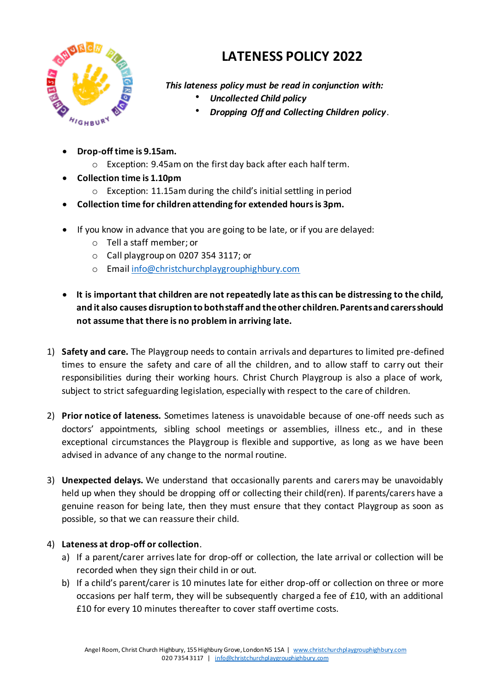

## **LATENESS POLICY 2022**

*This lateness policy must be read in conjunction with:*

- *Uncollected Child policy*
- *Dropping Off and Collecting Children policy*.
- **Drop-off time is 9.15am.**
	- o Exception: 9.45am on the first day back after each half term.
- **Collection time is 1.10pm**
	- o Exception: 11.15am during the child's initial settling in period
- **Collection time for children attending for extended hours is 3pm.**
- If you know in advance that you are going to be late, or if you are delayed:
	- o Tell a staff member; or
	- o Call playgroup on 0207 354 3117; or
	- o Email info@christchurchplaygrouphighbury.com
- **It is important that children are not repeatedly late as this can be distressing to the child, and it also causes disruption to both staff and the other children. Parents and carers should not assume that there is no problem in arriving late.**
- 1) **Safety and care.** The Playgroup needs to contain arrivals and departures to limited pre-defined times to ensure the safety and care of all the children, and to allow staff to carry out their responsibilities during their working hours. Christ Church Playgroup is also a place of work, subject to strict safeguarding legislation, especially with respect to the care of children.
- 2) **Prior notice of lateness.** Sometimes lateness is unavoidable because of one-off needs such as doctors' appointments, sibling school meetings or assemblies, illness etc., and in these exceptional circumstances the Playgroup is flexible and supportive, as long as we have been advised in advance of any change to the normal routine.
- 3) **Unexpected delays.** We understand that occasionally parents and carers may be unavoidably held up when they should be dropping off or collecting their child(ren). If parents/carers have a genuine reason for being late, then they must ensure that they contact Playgroup as soon as possible, so that we can reassure their child.

## 4) **Lateness at drop-off or collection**.

- a) If a parent/carer arrives late for drop-off or collection, the late arrival or collection will be recorded when they sign their child in or out.
- b) If a child's parent/carer is 10 minutes late for either drop-off or collection on three or more occasions per half term, they will be subsequently charged a fee of £10, with an additional £10 for every 10 minutes thereafter to cover staff overtime costs.